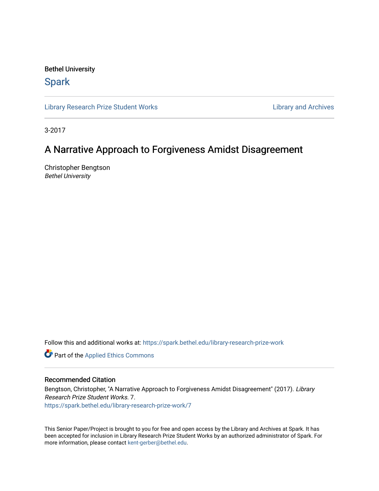Bethel University

# **Spark**

[Library Research Prize Student Works](https://spark.bethel.edu/library-research-prize-work) **Library Access 2018** Library and Archives

3-2017

# A Narrative Approach to Forgiveness Amidst Disagreement

Christopher Bengtson Bethel University

Follow this and additional works at: [https://spark.bethel.edu/library-research-prize-work](https://spark.bethel.edu/library-research-prize-work?utm_source=spark.bethel.edu%2Flibrary-research-prize-work%2F7&utm_medium=PDF&utm_campaign=PDFCoverPages) 

Part of the [Applied Ethics Commons](http://network.bepress.com/hgg/discipline/1392?utm_source=spark.bethel.edu%2Flibrary-research-prize-work%2F7&utm_medium=PDF&utm_campaign=PDFCoverPages) 

# Recommended Citation

Bengtson, Christopher, "A Narrative Approach to Forgiveness Amidst Disagreement" (2017). Library Research Prize Student Works. 7. [https://spark.bethel.edu/library-research-prize-work/7](https://spark.bethel.edu/library-research-prize-work/7?utm_source=spark.bethel.edu%2Flibrary-research-prize-work%2F7&utm_medium=PDF&utm_campaign=PDFCoverPages)

This Senior Paper/Project is brought to you for free and open access by the Library and Archives at Spark. It has been accepted for inclusion in Library Research Prize Student Works by an authorized administrator of Spark. For more information, please contact [kent-gerber@bethel.edu.](mailto:kent-gerber@bethel.edu)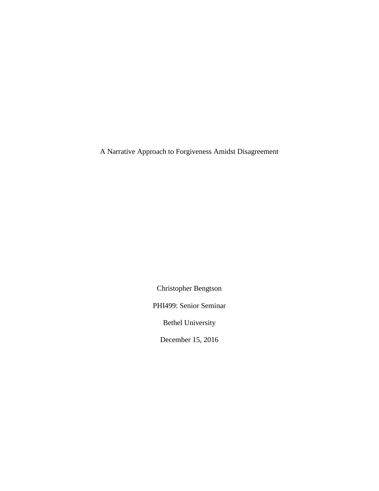A Narrative Approach to Forgiveness Amidst Disagreement

Christopher Bengtson

PHI499: Senior Seminar

Bethel University

December 15, 2016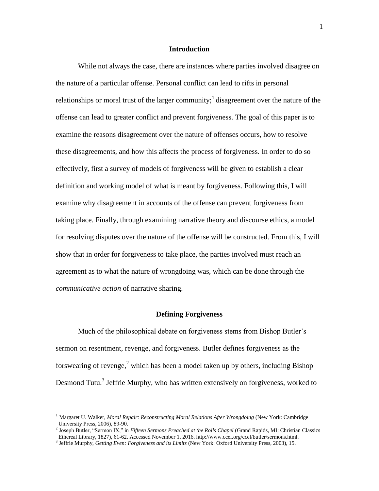# **Introduction**

While not always the case, there are instances where parties involved disagree on the nature of a particular offense. Personal conflict can lead to rifts in personal relationships or moral trust of the larger community;<sup>1</sup> disagreement over the nature of the offense can lead to greater conflict and prevent forgiveness. The goal of this paper is to examine the reasons disagreement over the nature of offenses occurs, how to resolve these disagreements, and how this affects the process of forgiveness. In order to do so effectively, first a survey of models of forgiveness will be given to establish a clear definition and working model of what is meant by forgiveness. Following this, I will examine why disagreement in accounts of the offense can prevent forgiveness from taking place. Finally, through examining narrative theory and discourse ethics, a model for resolving disputes over the nature of the offense will be constructed. From this, I will show that in order for forgiveness to take place, the parties involved must reach an agreement as to what the nature of wrongdoing was, which can be done through the *communicative action* of narrative sharing.

#### **Defining Forgiveness**

Much of the philosophical debate on forgiveness stems from Bishop Butler's sermon on resentment, revenge, and forgiveness. Butler defines forgiveness as the forswearing of revenge,<sup>2</sup> which has been a model taken up by others, including Bishop Desmond Tutu.<sup>3</sup> Jeffrie Murphy, who has written extensively on forgiveness, worked to

<sup>1</sup> Margaret U. Walker, *Moral Repair: Reconstructing Moral Relations After Wrongdoing* (New York: Cambridge University Press, 2006), 89-90.

<sup>2</sup> Joseph Butler, "Sermon IX," in *Fifteen Sermons Preached at the Rolls Chapel* (Grand Rapids, MI: Christian Classics Ethereal Library, 1827), 61-62. Accessed November 1, 2016. http://www.ccel.org/ccel/butler/sermons.html.

<sup>3</sup> Jeffrie Murphy, *Getting Even: Forgiveness and its Limits* (New York: Oxford University Press, 2003), 15.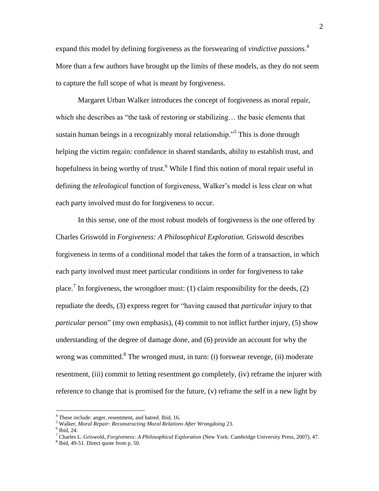expand this model by defining forgiveness as the forswearing of *vindictive passions*. 4 More than a few authors have brought up the limits of these models, as they do not seem to capture the full scope of what is meant by forgiveness.

Margaret Urban Walker introduces the concept of forgiveness as moral repair, which she describes as "the task of restoring or stabilizing… the basic elements that sustain human beings in a recognizably moral relationship."<sup>5</sup> This is done through helping the victim regain: confidence in shared standards, ability to establish trust, and hopefulness in being worthy of trust.<sup>6</sup> While I find this notion of moral repair useful in defining the *teleological* function of forgiveness, Walker's model is less clear on what each party involved must do for forgiveness to occur.

In this sense, one of the most robust models of forgiveness is the one offered by Charles Griswold in *Forgiveness: A Philosophical Exploration.* Griswold describes forgiveness in terms of a conditional model that takes the form of a transaction, in which each party involved must meet particular conditions in order for forgiveness to take place.<sup>7</sup> In forgiveness, the wrongdoer must: (1) claim responsibility for the deeds, (2) repudiate the deeds, (3) express regret for "having caused that *particular* injury to that *particular* person" (my own emphasis), (4) commit to not inflict further injury, (5) show understanding of the degree of damage done, and (6) provide an account for why the wrong was committed.<sup>8</sup> The wronged must, in turn: (i) forswear revenge, (ii) moderate resentment, (iii) commit to letting resentment go completely, (iv) reframe the injurer with reference to change that is promised for the future, (v) reframe the self in a new light by

<sup>4</sup> These include: anger, resentment, and hatred. Ibid, 16.

<sup>5</sup> Walker, *Moral Repair: Reconstructing Moral Relations After Wrongdoing* 23.

 $<sup>6</sup>$  Ibid, 24.</sup>

<sup>7</sup> Charles L. Griswold, *Forgiveness: A Philosophical Exploration* (New York: Cambridge University Press, 2007), 47.

<sup>8</sup> Ibid, 49-51. Direct quote from p. 50.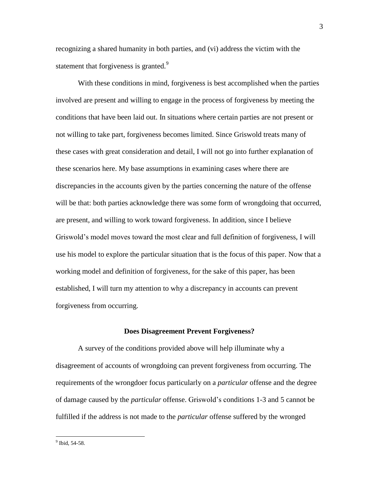recognizing a shared humanity in both parties, and (vi) address the victim with the statement that forgiveness is granted.<sup>9</sup>

With these conditions in mind, forgiveness is best accomplished when the parties involved are present and willing to engage in the process of forgiveness by meeting the conditions that have been laid out. In situations where certain parties are not present or not willing to take part, forgiveness becomes limited. Since Griswold treats many of these cases with great consideration and detail, I will not go into further explanation of these scenarios here. My base assumptions in examining cases where there are discrepancies in the accounts given by the parties concerning the nature of the offense will be that: both parties acknowledge there was some form of wrongdoing that occurred, are present, and willing to work toward forgiveness. In addition, since I believe Griswold's model moves toward the most clear and full definition of forgiveness, I will use his model to explore the particular situation that is the focus of this paper. Now that a working model and definition of forgiveness, for the sake of this paper, has been established, I will turn my attention to why a discrepancy in accounts can prevent forgiveness from occurring.

#### **Does Disagreement Prevent Forgiveness?**

A survey of the conditions provided above will help illuminate why a disagreement of accounts of wrongdoing can prevent forgiveness from occurring. The requirements of the wrongdoer focus particularly on a *particular* offense and the degree of damage caused by the *particular* offense. Griswold's conditions 1-3 and 5 cannot be fulfilled if the address is not made to the *particular* offense suffered by the wronged

<sup>3</sup>

<sup>&</sup>lt;sup>9</sup> Ibid, 54-58.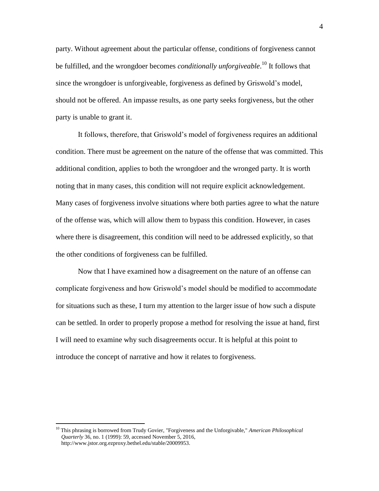party. Without agreement about the particular offense, conditions of forgiveness cannot be fulfilled, and the wrongdoer becomes *conditionally unforgiveable*. <sup>10</sup> It follows that since the wrongdoer is unforgiveable, forgiveness as defined by Griswold's model, should not be offered. An impasse results, as one party seeks forgiveness, but the other party is unable to grant it.

It follows, therefore, that Griswold's model of forgiveness requires an additional condition. There must be agreement on the nature of the offense that was committed. This additional condition, applies to both the wrongdoer and the wronged party. It is worth noting that in many cases, this condition will not require explicit acknowledgement. Many cases of forgiveness involve situations where both parties agree to what the nature of the offense was, which will allow them to bypass this condition. However, in cases where there is disagreement, this condition will need to be addressed explicitly, so that the other conditions of forgiveness can be fulfilled.

Now that I have examined how a disagreement on the nature of an offense can complicate forgiveness and how Griswold's model should be modified to accommodate for situations such as these, I turn my attention to the larger issue of how such a dispute can be settled. In order to properly propose a method for resolving the issue at hand, first I will need to examine why such disagreements occur. It is helpful at this point to introduce the concept of narrative and how it relates to forgiveness.

<sup>10</sup> This phrasing is borrowed from Trudy Govier, "Forgiveness and the Unforgivable," *American Philosophical Quarterly* 36, no. 1 (1999): 59, accessed November 5, 2016, http://www.jstor.org.ezproxy.bethel.edu/stable/20009953.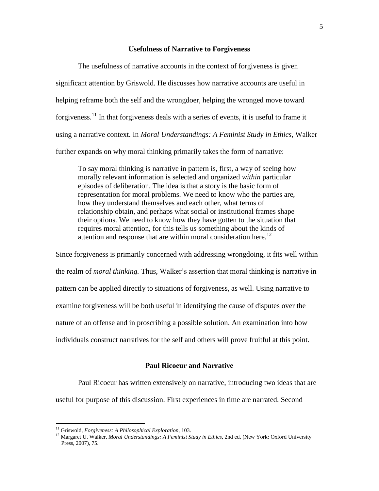## **Usefulness of Narrative to Forgiveness**

The usefulness of narrative accounts in the context of forgiveness is given significant attention by Griswold. He discusses how narrative accounts are useful in helping reframe both the self and the wrongdoer, helping the wronged move toward forgiveness.<sup>11</sup> In that forgiveness deals with a series of events, it is useful to frame it using a narrative context. In *Moral Understandings: A Feminist Study in Ethics*, Walker further expands on why moral thinking primarily takes the form of narrative:

To say moral thinking is narrative in pattern is, first, a way of seeing how morally relevant information is selected and organized *within* particular episodes of deliberation. The idea is that a story is the basic form of representation for moral problems. We need to know who the parties are, how they understand themselves and each other, what terms of relationship obtain, and perhaps what social or institutional frames shape their options. We need to know how they have gotten to the situation that requires moral attention, for this tells us something about the kinds of attention and response that are within moral consideration here.<sup>12</sup>

Since forgiveness is primarily concerned with addressing wrongdoing, it fits well within the realm of *moral thinking.* Thus, Walker's assertion that moral thinking is narrative in pattern can be applied directly to situations of forgiveness, as well. Using narrative to examine forgiveness will be both useful in identifying the cause of disputes over the nature of an offense and in proscribing a possible solution. An examination into how individuals construct narratives for the self and others will prove fruitful at this point.

# **Paul Ricoeur and Narrative**

Paul Ricoeur has written extensively on narrative, introducing two ideas that are useful for purpose of this discussion. First experiences in time are narrated. Second

<sup>11</sup> Griswold, *Forgiveness: A Philosophical Exploration,* 103.

<sup>&</sup>lt;sup>12</sup> Margaret U. Walker, *Moral Understandings: A Feminist Study in Ethics*, 2nd ed, (New York: Oxford University Press, 2007), 75.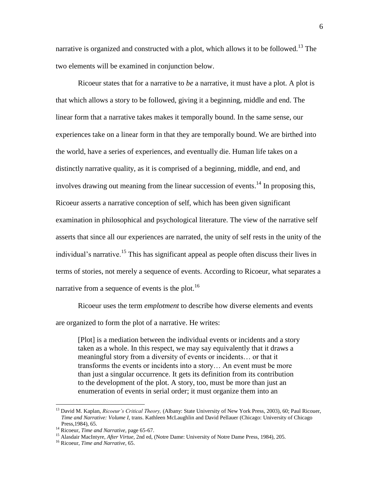narrative is organized and constructed with a plot, which allows it to be followed.<sup>13</sup> The two elements will be examined in conjunction below.

Ricoeur states that for a narrative to *be* a narrative, it must have a plot. A plot is that which allows a story to be followed, giving it a beginning, middle and end. The linear form that a narrative takes makes it temporally bound. In the same sense, our experiences take on a linear form in that they are temporally bound. We are birthed into the world, have a series of experiences, and eventually die. Human life takes on a distinctly narrative quality, as it is comprised of a beginning, middle, and end, and involves drawing out meaning from the linear succession of events.<sup>14</sup> In proposing this, Ricoeur asserts a narrative conception of self, which has been given significant examination in philosophical and psychological literature. The view of the narrative self asserts that since all our experiences are narrated, the unity of self rests in the unity of the individual's narrative.<sup>15</sup> This has significant appeal as people often discuss their lives in terms of stories, not merely a sequence of events. According to Ricoeur, what separates a narrative from a sequence of events is the plot.<sup>16</sup>

Ricoeur uses the term *emplotment* to describe how diverse elements and events are organized to form the plot of a narrative. He writes:

[Plot] is a mediation between the individual events or incidents and a story taken as a whole. In this respect, we may say equivalently that it draws a meaningful story from a diversity of events or incidents… or that it transforms the events or incidents into a story… An event must be more than just a singular occurrence. It gets its definition from its contribution to the development of the plot. A story, too, must be more than just an enumeration of events in serial order; it must organize them into an

<sup>13</sup> David M. Kaplan, *Ricoeur's Critical Theory,* (Albany: State University of New York Press, 2003), 60; Paul Ricouer, *Time and Narrative: Volume I,* trans. Kathleen McLaughlin and David Pellauer (Chicago: University of Chicago Press,1984), 65.

<sup>14</sup> Ricoeur, *Time and Narrative,* page 65-67.

<sup>&</sup>lt;sup>15</sup> Alasdair MacIntyre, *After Virtue*, 2nd ed, (Notre Dame: University of Notre Dame Press, 1984), 205.

<sup>16</sup> Ricoeur, *Time and Narrative*, 65.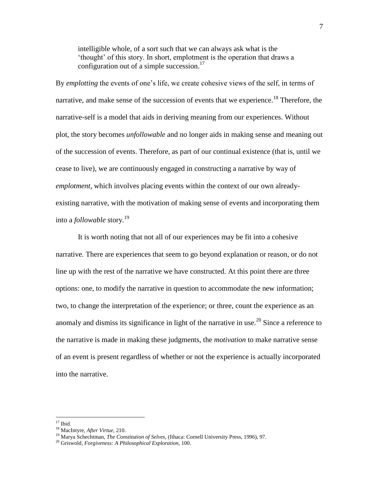intelligible whole, of a sort such that we can always ask what is the 'thought' of this story. In short, emplotment is the operation that draws a configuration out of a simple succession.<sup>17</sup>

By *emplotting* the events of one's life, we create cohesive views of the self, in terms of narrative, and make sense of the succession of events that we experience.<sup>18</sup> Therefore, the narrative-self is a model that aids in deriving meaning from our experiences. Without plot, the story becomes *unfollowable* and no longer aids in making sense and meaning out of the succession of events. Therefore, as part of our continual existence (that is, until we cease to live), we are continuously engaged in constructing a narrative by way of *emplotment*, which involves placing events within the context of our own alreadyexisting narrative, with the motivation of making sense of events and incorporating them into a *followable* story.<sup>19</sup>

It is worth noting that not all of our experiences may be fit into a cohesive narrative. There are experiences that seem to go beyond explanation or reason, or do not line up with the rest of the narrative we have constructed. At this point there are three options: one, to modify the narrative in question to accommodate the new information; two, to change the interpretation of the experience; or three, count the experience as an anomaly and dismiss its significance in light of the narrative in use.<sup>20</sup> Since a reference to the narrative is made in making these judgments, the *motivation* to make narrative sense of an event is present regardless of whether or not the experience is actually incorporated into the narrative.

 $17$  Ibid.

<sup>18</sup> MacIntyre, *After Virtue,* 210.

<sup>&</sup>lt;sup>19</sup> Marya Schechtman, *The Constitution of Selves*, (Ithaca: Cornell University Press, 1996), 97.

<sup>20</sup> Griswold, *Forgiveness: A Philosophical Exploration,* 100.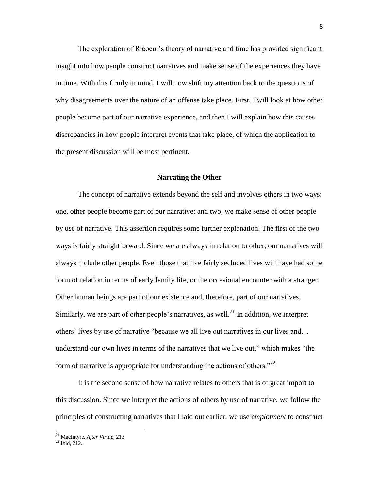The exploration of Ricoeur's theory of narrative and time has provided significant insight into how people construct narratives and make sense of the experiences they have in time. With this firmly in mind, I will now shift my attention back to the questions of why disagreements over the nature of an offense take place. First, I will look at how other people become part of our narrative experience, and then I will explain how this causes discrepancies in how people interpret events that take place, of which the application to the present discussion will be most pertinent.

#### **Narrating the Other**

The concept of narrative extends beyond the self and involves others in two ways: one, other people become part of our narrative; and two, we make sense of other people by use of narrative. This assertion requires some further explanation. The first of the two ways is fairly straightforward. Since we are always in relation to other, our narratives will always include other people. Even those that live fairly secluded lives will have had some form of relation in terms of early family life, or the occasional encounter with a stranger. Other human beings are part of our existence and, therefore, part of our narratives. Similarly, we are part of other people's narratives, as well.<sup>21</sup> In addition, we interpret others' lives by use of narrative "because we all live out narratives in our lives and… understand our own lives in terms of the narratives that we live out," which makes "the form of narrative is appropriate for understanding the actions of others. $12^2$ 

It is the second sense of how narrative relates to others that is of great import to this discussion. Since we interpret the actions of others by use of narrative, we follow the principles of constructing narratives that I laid out earlier: we use *emplotment* to construct

<sup>21</sup> MacIntyre, *After Virtue,* 213.

 $^{22}$  Ibid. 212.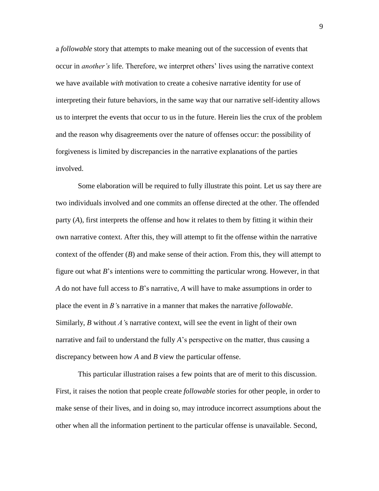a *followable* story that attempts to make meaning out of the succession of events that occur in *another's* life. Therefore, we interpret others' lives using the narrative context we have available *with* motivation to create a cohesive narrative identity for use of interpreting their future behaviors, in the same way that our narrative self-identity allows us to interpret the events that occur to us in the future. Herein lies the crux of the problem and the reason why disagreements over the nature of offenses occur: the possibility of forgiveness is limited by discrepancies in the narrative explanations of the parties involved.

Some elaboration will be required to fully illustrate this point. Let us say there are two individuals involved and one commits an offense directed at the other. The offended party (*A*), first interprets the offense and how it relates to them by fitting it within their own narrative context. After this, they will attempt to fit the offense within the narrative context of the offender (*B*) and make sense of their action. From this, they will attempt to figure out what *B*'s intentions were to committing the particular wrong. However, in that *A* do not have full access to *B*'s narrative, *A* will have to make assumptions in order to place the event in *B'*s narrative in a manner that makes the narrative *followable*. Similarly, *B* without *A'*s narrative context, will see the event in light of their own narrative and fail to understand the fully *A*'s perspective on the matter, thus causing a discrepancy between how *A* and *B* view the particular offense.

This particular illustration raises a few points that are of merit to this discussion. First, it raises the notion that people create *followable* stories for other people, in order to make sense of their lives, and in doing so, may introduce incorrect assumptions about the other when all the information pertinent to the particular offense is unavailable. Second,

9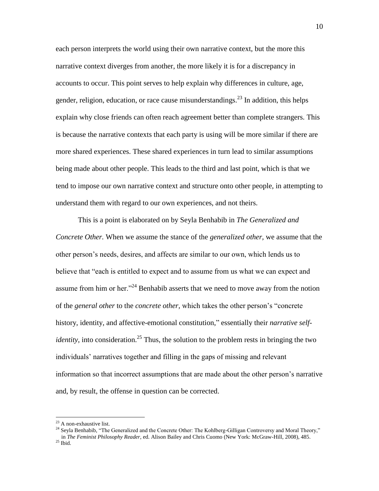each person interprets the world using their own narrative context, but the more this narrative context diverges from another, the more likely it is for a discrepancy in accounts to occur. This point serves to help explain why differences in culture, age, gender, religion, education, or race cause misunderstandings.<sup>23</sup> In addition, this helps explain why close friends can often reach agreement better than complete strangers. This is because the narrative contexts that each party is using will be more similar if there are more shared experiences. These shared experiences in turn lead to similar assumptions being made about other people. This leads to the third and last point, which is that we tend to impose our own narrative context and structure onto other people, in attempting to understand them with regard to our own experiences, and not theirs.

This is a point is elaborated on by Seyla Benhabib in *The Generalized and Concrete Other.* When we assume the stance of the *generalized other,* we assume that the other person's needs, desires, and affects are similar to our own, which lends us to believe that "each is entitled to expect and to assume from us what we can expect and assume from him or her."<sup>24</sup> Benhabib asserts that we need to move away from the notion of the *general other* to the *concrete other,* which takes the other person's "concrete history, identity, and affective-emotional constitution," essentially their *narrative selfidentity*, into consideration.<sup>25</sup> Thus, the solution to the problem rests in bringing the two individuals' narratives together and filling in the gaps of missing and relevant information so that incorrect assumptions that are made about the other person's narrative and, by result, the offense in question can be corrected.

 $23$  A non-exhaustive list.

<sup>&</sup>lt;sup>24</sup> Seyla Benhabib, "The Generalized and the Concrete Other: The Kohlberg-Gilligan Controversy and Moral Theory," in *The Feminist Philosophy Reader,* ed. Alison Bailey and Chris Cuomo (New York: McGraw-Hill, 2008), 485.  $^{25}$  Ibid.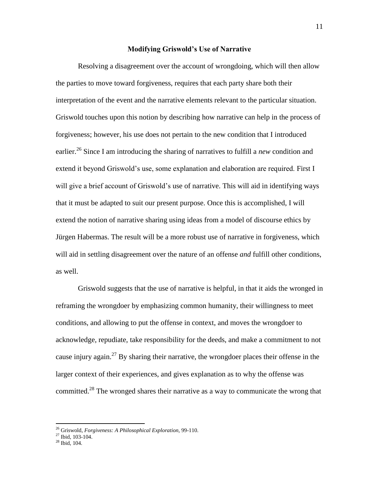## **Modifying Griswold's Use of Narrative**

Resolving a disagreement over the account of wrongdoing, which will then allow the parties to move toward forgiveness, requires that each party share both their interpretation of the event and the narrative elements relevant to the particular situation. Griswold touches upon this notion by describing how narrative can help in the process of forgiveness; however, his use does not pertain to the new condition that I introduced earlier. <sup>26</sup> Since I am introducing the sharing of narratives to fulfill a *new* condition and extend it beyond Griswold's use, some explanation and elaboration are required. First I will give a brief account of Griswold's use of narrative. This will aid in identifying ways that it must be adapted to suit our present purpose. Once this is accomplished, I will extend the notion of narrative sharing using ideas from a model of discourse ethics by Jürgen Habermas. The result will be a more robust use of narrative in forgiveness, which will aid in settling disagreement over the nature of an offense *and* fulfill other conditions, as well.

Griswold suggests that the use of narrative is helpful, in that it aids the wronged in reframing the wrongdoer by emphasizing common humanity, their willingness to meet conditions, and allowing to put the offense in context, and moves the wrongdoer to acknowledge, repudiate, take responsibility for the deeds, and make a commitment to not cause injury again.<sup>27</sup> By sharing their narrative, the wrongdoer places their offense in the larger context of their experiences, and gives explanation as to why the offense was committed.<sup>28</sup> The wronged shares their narrative as a way to communicate the wrong that

<sup>26</sup> Griswold, *Forgiveness: A Philosophical Exploration,* 99-110.

 $^{27}$  Ibid, 103-104.

 $28$  Ibid. 104.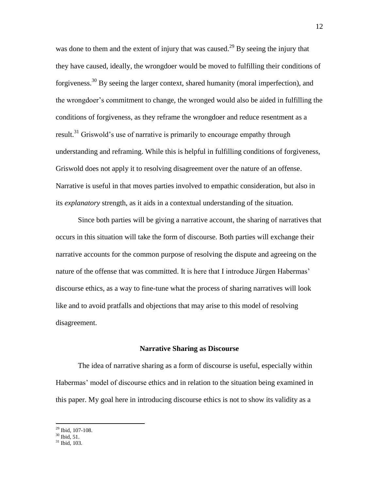was done to them and the extent of injury that was caused.<sup>29</sup> By seeing the injury that they have caused, ideally, the wrongdoer would be moved to fulfilling their conditions of forgiveness.<sup>30</sup> By seeing the larger context, shared humanity (moral imperfection), and the wrongdoer's commitment to change, the wronged would also be aided in fulfilling the conditions of forgiveness, as they reframe the wrongdoer and reduce resentment as a result.<sup>31</sup> Griswold's use of narrative is primarily to encourage empathy through understanding and reframing. While this is helpful in fulfilling conditions of forgiveness, Griswold does not apply it to resolving disagreement over the nature of an offense. Narrative is useful in that moves parties involved to empathic consideration, but also in its *explanatory* strength, as it aids in a contextual understanding of the situation.

Since both parties will be giving a narrative account, the sharing of narratives that occurs in this situation will take the form of discourse. Both parties will exchange their narrative accounts for the common purpose of resolving the dispute and agreeing on the nature of the offense that was committed. It is here that I introduce Jürgen Habermas' discourse ethics, as a way to fine-tune what the process of sharing narratives will look like and to avoid pratfalls and objections that may arise to this model of resolving disagreement.

## **Narrative Sharing as Discourse**

The idea of narrative sharing as a form of discourse is useful, especially within Habermas' model of discourse ethics and in relation to the situation being examined in this paper. My goal here in introducing discourse ethics is not to show its validity as a

<sup>29</sup> Ibid, 107-108.

 $30$  Ibid, 51.

 $31$  Ibid. 103.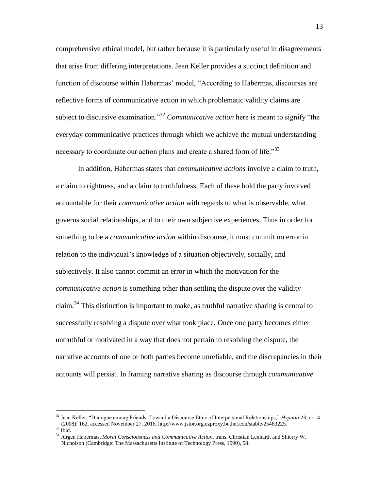comprehensive ethical model, but rather because it is particularly useful in disagreements that arise from differing interpretations. Jean Keller provides a succinct definition and function of discourse within Habermas' model, "According to Habermas, discourses are reflective forms of communicative action in which problematic validity claims are subject to discursive examination."<sup>32</sup> *Communicative action* here is meant to signify "the everyday communicative practices through which we achieve the mutual understanding necessary to coordinate our action plans and create a shared form of life.<sup>33</sup>

In addition, Habermas states that *communicative actions* involve a claim to truth, a claim to rightness, and a claim to truthfulness. Each of these hold the party involved accountable for their *communicative action* with regards to what is observable, what governs social relationships, and to their own subjective experiences. Thus in order for something to be a *communicative action* within discourse, it must commit no error in relation to the individual's knowledge of a situation objectively, socially, and subjectively. It also cannot commit an error in which the motivation for the *communicative action* is something other than settling the dispute over the validity claim.<sup>34</sup> This distinction is important to make, as truthful narrative sharing is central to successfully resolving a dispute over what took place. Once one party becomes either untruthful or motivated in a way that does not pertain to resolving the dispute, the narrative accounts of one or both parties become unreliable, and the discrepancies in their accounts will persist. In framing narrative sharing as discourse through *communicative* 

<sup>32</sup> Jean Keller, "Dialogue among Friends: Toward a Discourse Ethic of Interpersonal Relationships," *Hypatia* 23, no. 4 (2008): 162, accessed November 27, 2016, http://www.jstor.org.ezproxy.bethel.edu/stable/25483225.  $33$  Ibid.

<sup>&</sup>lt;sup>34</sup> Jürgen Habermas, *Moral Consciousness and Communicative Action*, trans. Christian Lenhardt and Shierry W. Nicholson (Cambridge: The Massachusetts Institute of Technology Press, 1990), 58.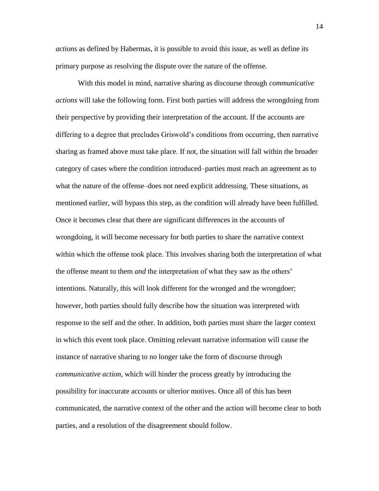*actions* as defined by Habermas, it is possible to avoid this issue, as well as define its primary purpose as resolving the dispute over the nature of the offense.

With this model in mind, narrative sharing as discourse through *communicative actions* will take the following form. First both parties will address the wrongdoing from their perspective by providing their interpretation of the account. If the accounts are differing to a degree that precludes Griswold's conditions from occurring, then narrative sharing as framed above must take place. If not, the situation will fall within the broader category of cases where the condition introduced–parties must reach an agreement as to what the nature of the offense–does not need explicit addressing. These situations, as mentioned earlier, will bypass this step, as the condition will already have been fulfilled. Once it becomes clear that there are significant differences in the accounts of wrongdoing, it will become necessary for both parties to share the narrative context within which the offense took place. This involves sharing both the interpretation of what the offense meant to them *and* the interpretation of what they saw as the others' intentions. Naturally, this will look different for the wronged and the wrongdoer; however, both parties should fully describe how the situation was interpreted with response to the self and the other. In addition, both parties must share the larger context in which this event took place. Omitting relevant narrative information will cause the instance of narrative sharing to no longer take the form of discourse through *communicative action*, which will hinder the process greatly by introducing the possibility for inaccurate accounts or ulterior motives. Once all of this has been communicated, the narrative context of the other and the action will become clear to both parties, and a resolution of the disagreement should follow.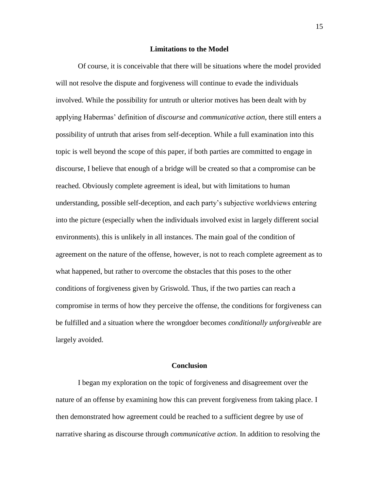## **Limitations to the Model**

Of course, it is conceivable that there will be situations where the model provided will not resolve the dispute and forgiveness will continue to evade the individuals involved. While the possibility for untruth or ulterior motives has been dealt with by applying Habermas' definition of *discourse* and *communicative action,* there still enters a possibility of untruth that arises from self-deception. While a full examination into this topic is well beyond the scope of this paper, if both parties are committed to engage in discourse, I believe that enough of a bridge will be created so that a compromise can be reached. Obviously complete agreement is ideal, but with limitations to human understanding, possible self-deception, and each party's subjective worldviews entering into the picture (especially when the individuals involved exist in largely different social environments), this is unlikely in all instances. The main goal of the condition of agreement on the nature of the offense, however, is not to reach complete agreement as to what happened, but rather to overcome the obstacles that this poses to the other conditions of forgiveness given by Griswold. Thus, if the two parties can reach a compromise in terms of how they perceive the offense, the conditions for forgiveness can be fulfilled and a situation where the wrongdoer becomes *conditionally unforgiveable* are largely avoided.

# **Conclusion**

I began my exploration on the topic of forgiveness and disagreement over the nature of an offense by examining how this can prevent forgiveness from taking place. I then demonstrated how agreement could be reached to a sufficient degree by use of narrative sharing as discourse through *communicative action*. In addition to resolving the

15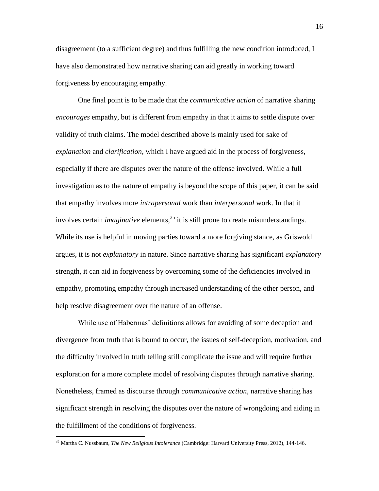disagreement (to a sufficient degree) and thus fulfilling the new condition introduced, I have also demonstrated how narrative sharing can aid greatly in working toward forgiveness by encouraging empathy.

One final point is to be made that the *communicative action* of narrative sharing *encourages* empathy, but is different from empathy in that it aims to settle dispute over validity of truth claims. The model described above is mainly used for sake of *explanation* and *clarification*, which I have argued aid in the process of forgiveness, especially if there are disputes over the nature of the offense involved. While a full investigation as to the nature of empathy is beyond the scope of this paper, it can be said that empathy involves more *intrapersonal* work than *interpersonal* work. In that it involves certain *imaginative* elements, <sup>35</sup> it is still prone to create misunderstandings. While its use is helpful in moving parties toward a more forgiving stance, as Griswold argues, it is not *explanatory* in nature. Since narrative sharing has significant *explanatory*  strength, it can aid in forgiveness by overcoming some of the deficiencies involved in empathy, promoting empathy through increased understanding of the other person, and help resolve disagreement over the nature of an offense.

While use of Habermas' definitions allows for avoiding of some deception and divergence from truth that is bound to occur, the issues of self-deception, motivation, and the difficulty involved in truth telling still complicate the issue and will require further exploration for a more complete model of resolving disputes through narrative sharing. Nonetheless, framed as discourse through *communicative action*, narrative sharing has significant strength in resolving the disputes over the nature of wrongdoing and aiding in the fulfillment of the conditions of forgiveness.

<sup>35</sup> Martha C. Nussbaum, *The New Religious Intolerance* (Cambridge: Harvard University Press, 2012), 144-146.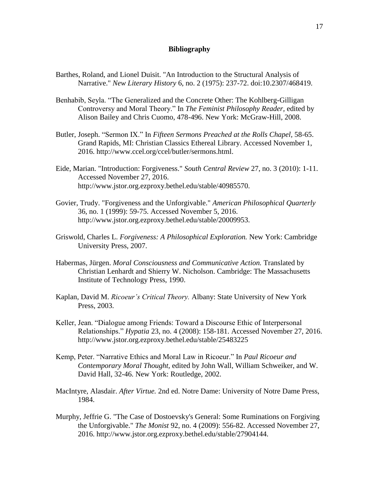# **Bibliography**

- Barthes, Roland, and Lionel Duisit. "An Introduction to the Structural Analysis of Narrative." *New Literary History* 6, no. 2 (1975): 237-72. doi:10.2307/468419.
- Benhabib, Seyla. "The Generalized and the Concrete Other: The Kohlberg-Gilligan Controversy and Moral Theory." In *The Feminist Philosophy Reader,* edited by Alison Bailey and Chris Cuomo, 478-496. New York: McGraw-Hill, 2008.
- Butler, Joseph. "Sermon IX." In *Fifteen Sermons Preached at the Rolls Chapel,* 58-65. Grand Rapids, MI: Christian Classics Ethereal Library. Accessed November 1, 2016. http://www.ccel.org/ccel/butler/sermons.html.
- Eide, Marian. "Introduction: Forgiveness." *South Central Review* 27, no. 3 (2010): 1-11. Accessed November 27, 2016. http://www.jstor.org.ezproxy.bethel.edu/stable/40985570.
- Govier, Trudy. "Forgiveness and the Unforgivable." *American Philosophical Quarterly* 36, no. 1 (1999): 59-75. Accessed November 5, 2016. http://www.jstor.org.ezproxy.bethel.edu/stable/20009953.
- Griswold, Charles L. *Forgiveness: A Philosophical Exploration.* New York: Cambridge University Press, 2007.
- Habermas, Jürgen. *Moral Consciousness and Communicative Action.* Translated by Christian Lenhardt and Shierry W. Nicholson. Cambridge: The Massachusetts Institute of Technology Press, 1990.
- Kaplan, David M. *Ricoeur's Critical Theory.* Albany: State University of New York Press, 2003.
- Keller, Jean. "Dialogue among Friends: Toward a Discourse Ethic of Interpersonal Relationships." *Hypatia* 23, no. 4 (2008): 158-181. Accessed November 27, 2016. http://www.jstor.org.ezproxy.bethel.edu/stable/25483225
- Kemp, Peter. "Narrative Ethics and Moral Law in Ricoeur." In *Paul Ricoeur and Contemporary Moral Thought,* edited by John Wall, William Schweiker, and W. David Hall, 32-46. New York: Routledge, 2002.
- MacIntyre, Alasdair. *After Virtue.* 2nd ed. Notre Dame: University of Notre Dame Press, 1984.
- Murphy, Jeffrie G. "The Case of Dostoevsky's General: Some Ruminations on Forgiving the Unforgivable." *The Monist* 92, no. 4 (2009): 556-82. Accessed November 27, 2016. http://www.jstor.org.ezproxy.bethel.edu/stable/27904144.